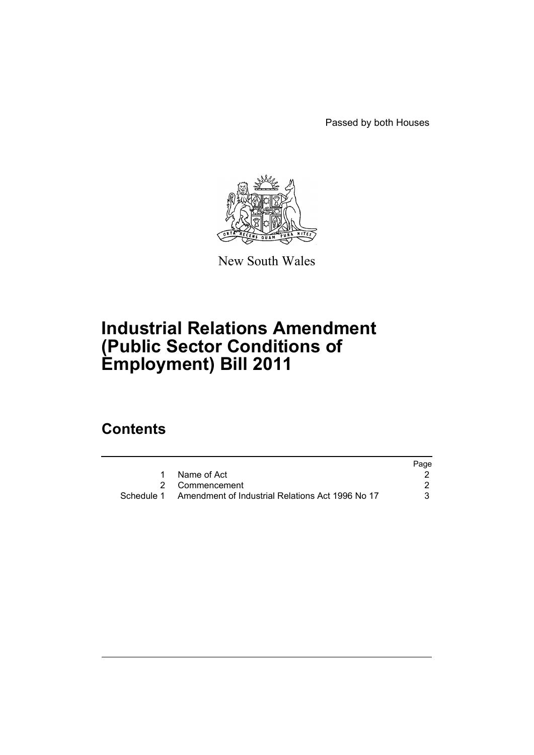Passed by both Houses



New South Wales

# **Industrial Relations Amendment (Public Sector Conditions of Employment) Bill 2011**

## **Contents**

|            |                                                  | Page |
|------------|--------------------------------------------------|------|
|            | Name of Act                                      |      |
|            | 2 Commencement                                   |      |
| Schedule 1 | Amendment of Industrial Relations Act 1996 No 17 |      |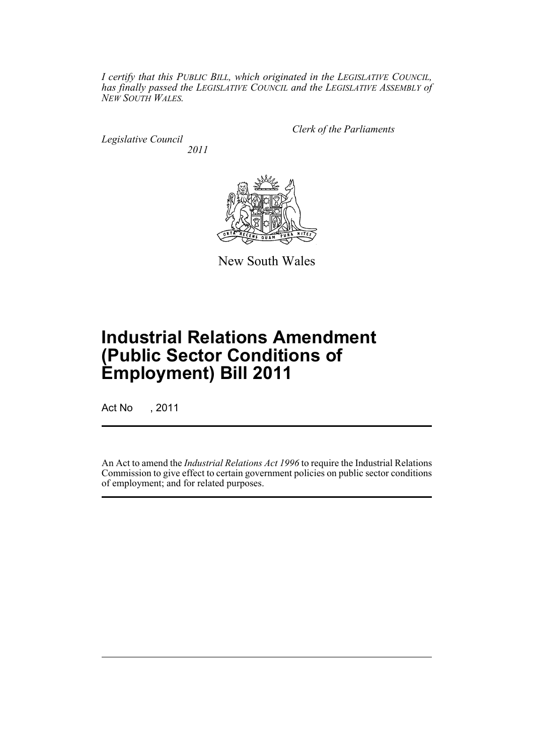*I certify that this PUBLIC BILL, which originated in the LEGISLATIVE COUNCIL, has finally passed the LEGISLATIVE COUNCIL and the LEGISLATIVE ASSEMBLY of NEW SOUTH WALES.*

*Legislative Council 2011* *Clerk of the Parliaments*



New South Wales

# **Industrial Relations Amendment (Public Sector Conditions of Employment) Bill 2011**

Act No , 2011

An Act to amend the *Industrial Relations Act 1996* to require the Industrial Relations Commission to give effect to certain government policies on public sector conditions of employment; and for related purposes.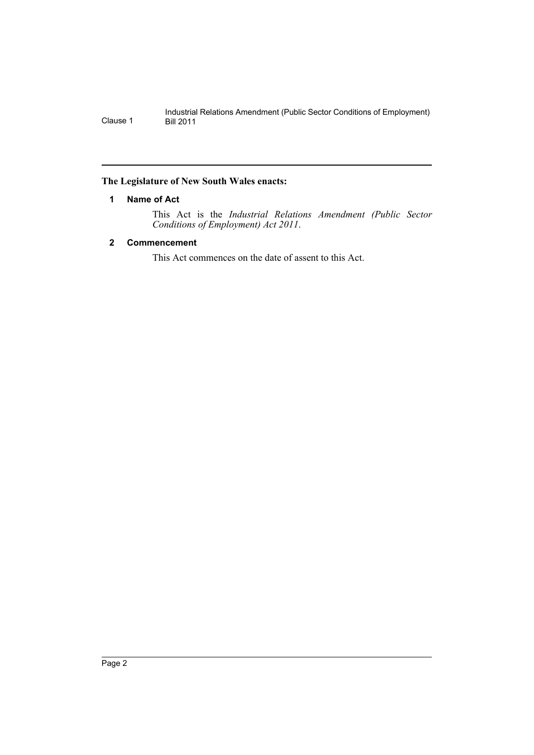## <span id="page-3-0"></span>**The Legislature of New South Wales enacts:**

## **1 Name of Act**

This Act is the *Industrial Relations Amendment (Public Sector Conditions of Employment) Act 2011*.

## <span id="page-3-1"></span>**2 Commencement**

This Act commences on the date of assent to this Act.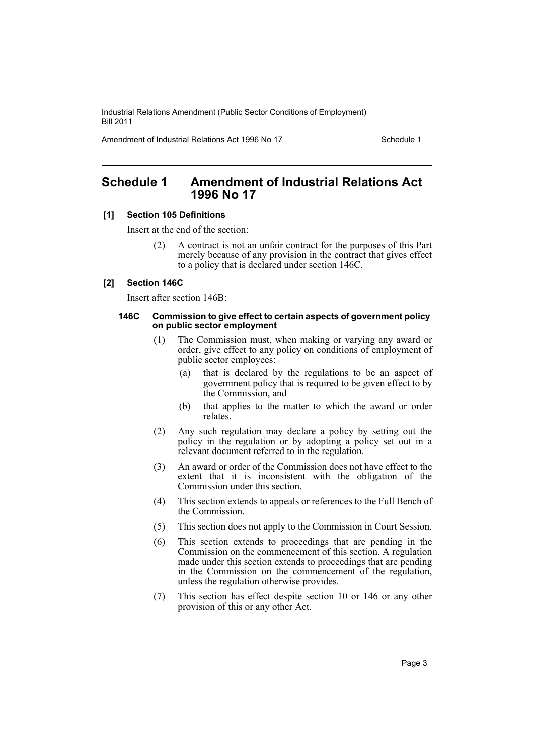Industrial Relations Amendment (Public Sector Conditions of Employment) Bill 2011

Amendment of Industrial Relations Act 1996 No 17 Schedule 1

## <span id="page-4-0"></span>**Schedule 1 Amendment of Industrial Relations Act 1996 No 17**

### **[1] Section 105 Definitions**

Insert at the end of the section:

(2) A contract is not an unfair contract for the purposes of this Part merely because of any provision in the contract that gives effect to a policy that is declared under section 146C.

### **[2] Section 146C**

Insert after section 146B:

#### **146C Commission to give effect to certain aspects of government policy on public sector employment**

- (1) The Commission must, when making or varying any award or order, give effect to any policy on conditions of employment of public sector employees:
	- (a) that is declared by the regulations to be an aspect of government policy that is required to be given effect to by the Commission, and
	- (b) that applies to the matter to which the award or order relates.
- (2) Any such regulation may declare a policy by setting out the policy in the regulation or by adopting a policy set out in a relevant document referred to in the regulation.
- (3) An award or order of the Commission does not have effect to the extent that it is inconsistent with the obligation of the Commission under this section.
- (4) This section extends to appeals or references to the Full Bench of the Commission.
- (5) This section does not apply to the Commission in Court Session.
- (6) This section extends to proceedings that are pending in the Commission on the commencement of this section. A regulation made under this section extends to proceedings that are pending in the Commission on the commencement of the regulation, unless the regulation otherwise provides.
- (7) This section has effect despite section 10 or 146 or any other provision of this or any other Act.